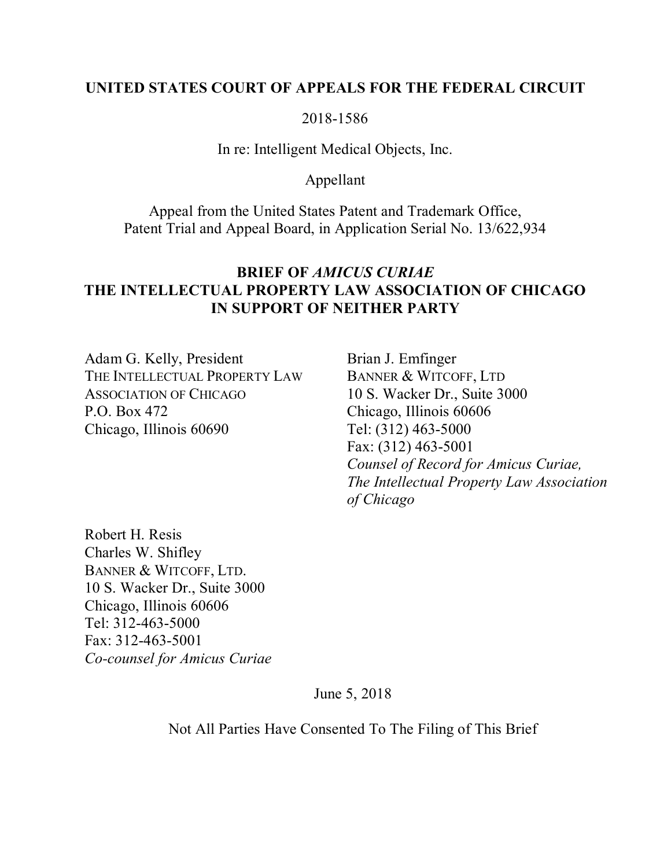## **UNITED STATES COURT OF APPEALS FOR THE FEDERAL CIRCUIT**

## 2018-1586

## In re: Intelligent Medical Objects, Inc.

## Appellant

Appeal from the United States Patent and Trademark Office, Patent Trial and Appeal Board, in Application Serial No. 13/622,934

## **BRIEF OF** *AMICUS CURIAE* **THE INTELLECTUAL PROPERTY LAW ASSOCIATION OF CHICAGO IN SUPPORT OF NEITHER PARTY**

Adam G. Kelly, President THE INTELLECTUAL PROPERTY LAW ASSOCIATION OF CHICAGO P.O. Box 472 Chicago, Illinois 60690

Brian J. Emfinger BANNER & WITCOFF, LTD 10 S. Wacker Dr., Suite 3000 Chicago, Illinois 60606 Tel: (312) 463-5000 Fax: (312) 463-5001 *Counsel of Record for Amicus Curiae, The Intellectual Property Law Association of Chicago*

Robert H. Resis Charles W. Shifley BANNER & WITCOFF, LTD. 10 S. Wacker Dr., Suite 3000 Chicago, Illinois 60606 Tel: 312-463-5000 Fax: 312-463-5001 *Co-counsel for Amicus Curiae*

June 5, 2018

Not All Parties Have Consented To The Filing of This Brief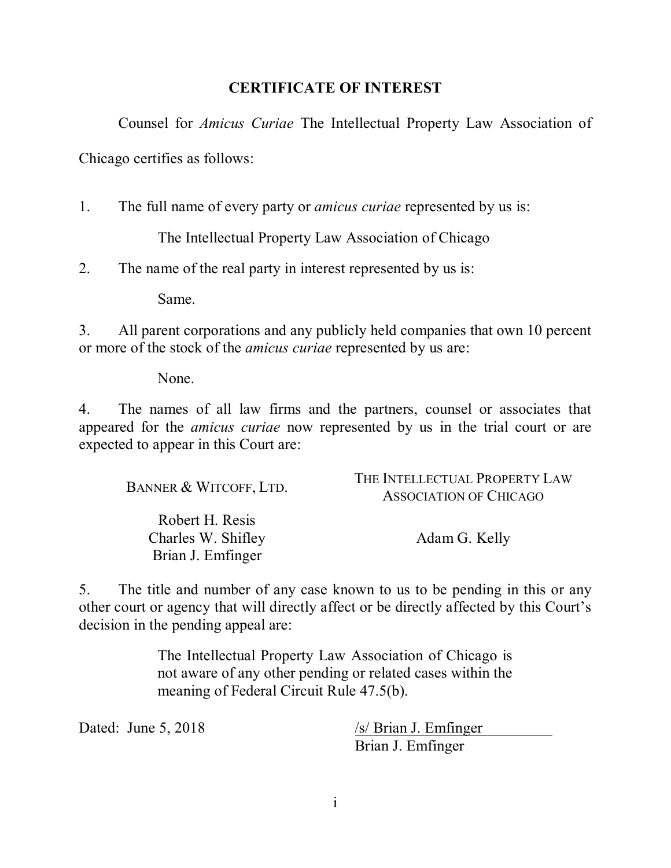## **CERTIFICATE OF INTEREST**

Counsel for *Amicus Curiae* The Intellectual Property Law Association of

Chicago certifies as follows:

1. The full name of every party or *amicus curiae* represented by us is:

The Intellectual Property Law Association of Chicago

2. The name of the real party in interest represented by us is:

Same.

3. All parent corporations and any publicly held companies that own 10 percent or more of the stock of the *amicus curiae* represented by us are:

None.

4. The names of all law firms and the partners, counsel or associates that appeared for the *amicus curiae* now represented by us in the trial court or are expected to appear in this Court are:

| BANNER & WITCOFF, LTD.                                     | THE INTELLECTUAL PROPERTY LAW<br><b>ASSOCIATION OF CHICAGO</b> |
|------------------------------------------------------------|----------------------------------------------------------------|
| Robert H. Resis<br>Charles W. Shifley<br>Brian J. Emfinger | Adam G. Kelly                                                  |

5. The title and number of any case known to us to be pending in this or any other court or agency that will directly affect or be directly affected by this Court's decision in the pending appeal are:

> The Intellectual Property Law Association of Chicago is not aware of any other pending or related cases within the meaning of Federal Circuit Rule 47.5(b).

Dated: June 5, 2018 /s/ Brian J. Emfinger Brian J. Emfinger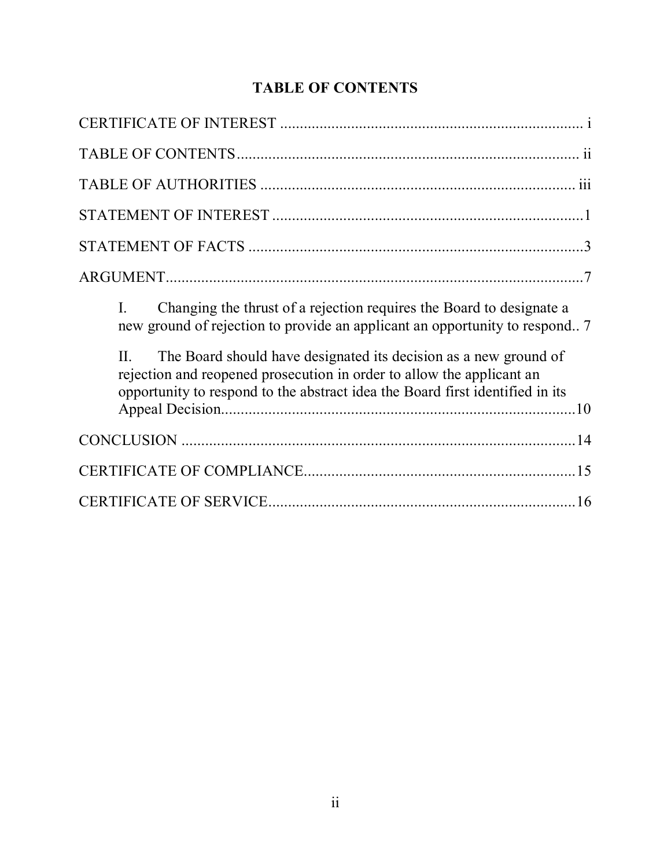# **TABLE OF CONTENTS**

| Changing the thrust of a rejection requires the Board to designate a<br>$\mathbf{I}$ .<br>new ground of rejection to provide an applicant an opportunity to respond?                                                                  |
|---------------------------------------------------------------------------------------------------------------------------------------------------------------------------------------------------------------------------------------|
| The Board should have designated its decision as a new ground of<br>$\Pi$ .<br>rejection and reopened prosecution in order to allow the applicant an<br>opportunity to respond to the abstract idea the Board first identified in its |
|                                                                                                                                                                                                                                       |
|                                                                                                                                                                                                                                       |
|                                                                                                                                                                                                                                       |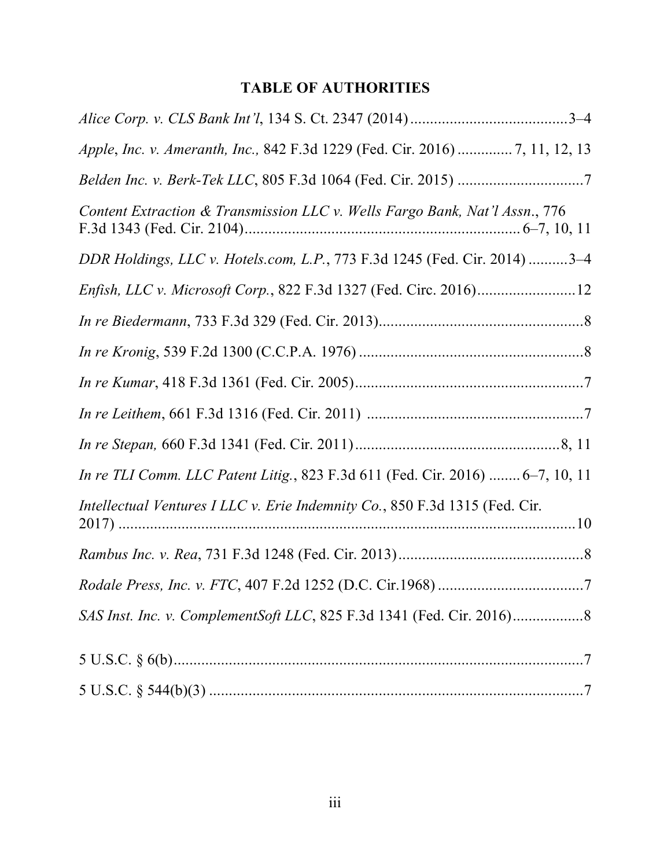# **TABLE OF AUTHORITIES**

| Apple, Inc. v. Ameranth, Inc., 842 F.3d 1229 (Fed. Cir. 2016)  7, 11, 12, 13  |
|-------------------------------------------------------------------------------|
|                                                                               |
| Content Extraction & Transmission LLC v. Wells Fargo Bank, Nat'l Assn., 776   |
| DDR Holdings, LLC v. Hotels.com, L.P., 773 F.3d 1245 (Fed. Cir. 2014) 3-4     |
|                                                                               |
|                                                                               |
|                                                                               |
|                                                                               |
|                                                                               |
|                                                                               |
| In re TLI Comm. LLC Patent Litig., 823 F.3d 611 (Fed. Cir. 2016)  6–7, 10, 11 |
| Intellectual Ventures I LLC v. Erie Indemnity Co., 850 F.3d 1315 (Fed. Cir.   |
|                                                                               |
|                                                                               |
|                                                                               |
|                                                                               |
|                                                                               |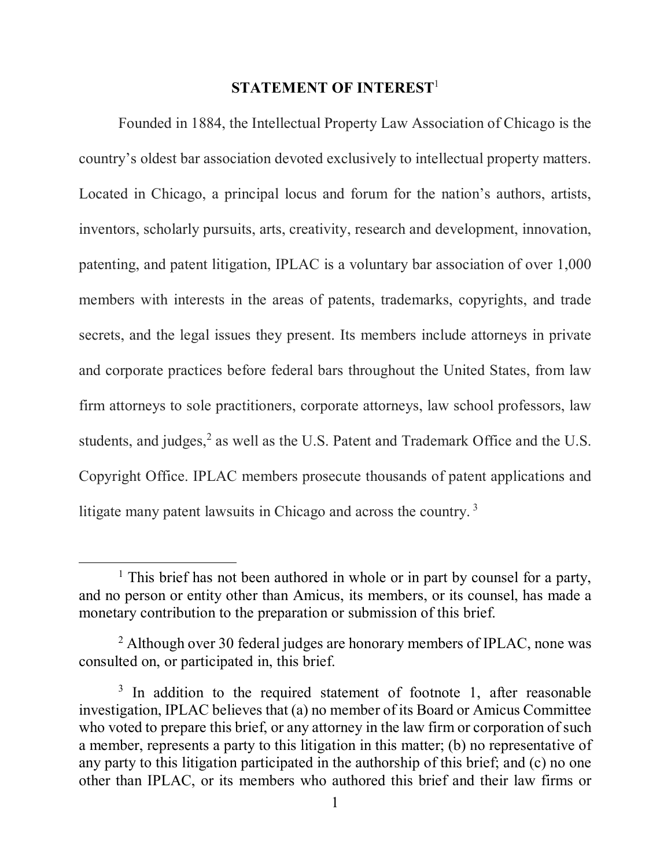#### **STATEMENT OF INTEREST**<sup>1</sup>

Founded in 1884, the Intellectual Property Law Association of Chicago is the country's oldest bar association devoted exclusively to intellectual property matters. Located in Chicago, a principal locus and forum for the nation's authors, artists, inventors, scholarly pursuits, arts, creativity, research and development, innovation, patenting, and patent litigation, IPLAC is a voluntary bar association of over 1,000 members with interests in the areas of patents, trademarks, copyrights, and trade secrets, and the legal issues they present. Its members include attorneys in private and corporate practices before federal bars throughout the United States, from law firm attorneys to sole practitioners, corporate attorneys, law school professors, law students, and judges, $<sup>2</sup>$  as well as the U.S. Patent and Trademark Office and the U.S.</sup> Copyright Office. IPLAC members prosecute thousands of patent applications and litigate many patent lawsuits in Chicago and across the country.<sup>3</sup>

<sup>&</sup>lt;sup>1</sup> This brief has not been authored in whole or in part by counsel for a party, and no person or entity other than Amicus, its members, or its counsel, has made a monetary contribution to the preparation or submission of this brief.

 $2$  Although over 30 federal judges are honorary members of IPLAC, none was consulted on, or participated in, this brief.

 $3$  In addition to the required statement of footnote 1, after reasonable investigation, IPLAC believes that (a) no member of its Board or Amicus Committee who voted to prepare this brief, or any attorney in the law firm or corporation of such a member, represents a party to this litigation in this matter; (b) no representative of any party to this litigation participated in the authorship of this brief; and (c) no one other than IPLAC, or its members who authored this brief and their law firms or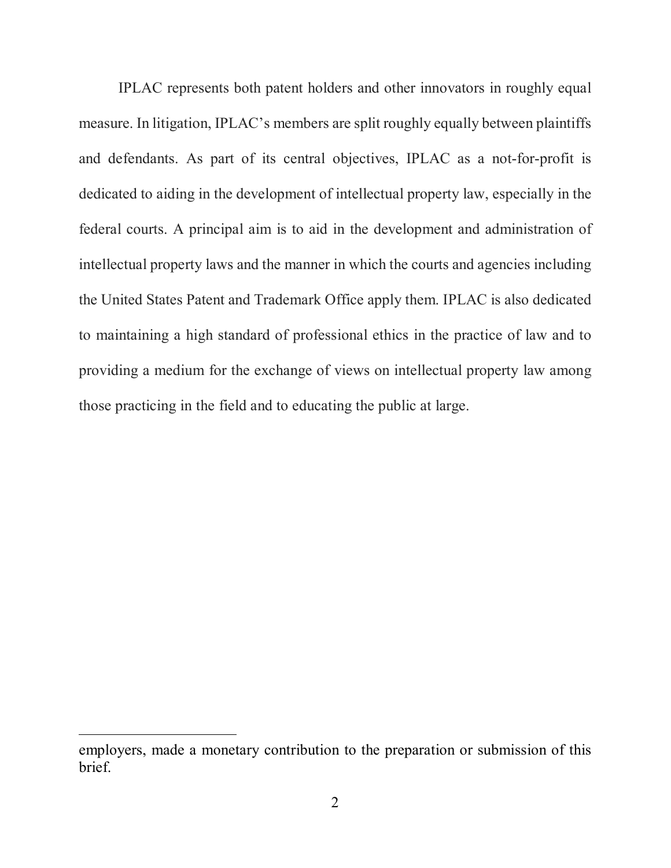IPLAC represents both patent holders and other innovators in roughly equal measure. In litigation, IPLAC's members are split roughly equally between plaintiffs and defendants. As part of its central objectives, IPLAC as a not-for-profit is dedicated to aiding in the development of intellectual property law, especially in the federal courts. A principal aim is to aid in the development and administration of intellectual property laws and the manner in which the courts and agencies including the United States Patent and Trademark Office apply them. IPLAC is also dedicated to maintaining a high standard of professional ethics in the practice of law and to providing a medium for the exchange of views on intellectual property law among those practicing in the field and to educating the public at large.

employers, made a monetary contribution to the preparation or submission of this brief.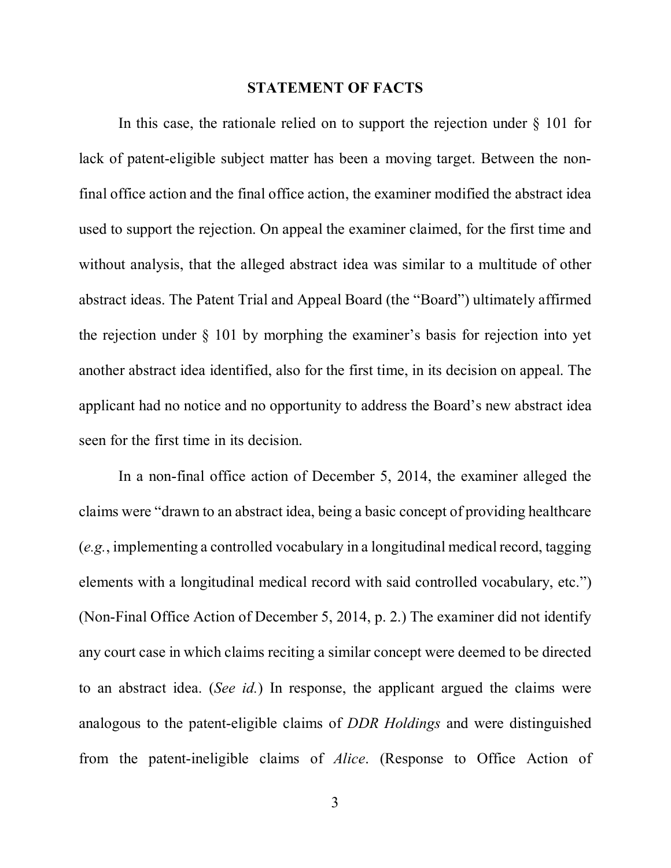#### **STATEMENT OF FACTS**

In this case, the rationale relied on to support the rejection under  $\S$  101 for lack of patent-eligible subject matter has been a moving target. Between the nonfinal office action and the final office action, the examiner modified the abstract idea used to support the rejection. On appeal the examiner claimed, for the first time and without analysis, that the alleged abstract idea was similar to a multitude of other abstract ideas. The Patent Trial and Appeal Board (the "Board") ultimately affirmed the rejection under § 101 by morphing the examiner's basis for rejection into yet another abstract idea identified, also for the first time, in its decision on appeal. The applicant had no notice and no opportunity to address the Board's new abstract idea seen for the first time in its decision.

In a non-final office action of December 5, 2014, the examiner alleged the claims were "drawn to an abstract idea, being a basic concept of providing healthcare (*e.g.*, implementing a controlled vocabulary in a longitudinal medical record, tagging elements with a longitudinal medical record with said controlled vocabulary, etc.") (Non-Final Office Action of December 5, 2014, p. 2.) The examiner did not identify any court case in which claims reciting a similar concept were deemed to be directed to an abstract idea. (*See id.*) In response, the applicant argued the claims were analogous to the patent-eligible claims of *DDR Holdings* and were distinguished from the patent-ineligible claims of *Alice*. (Response to Office Action of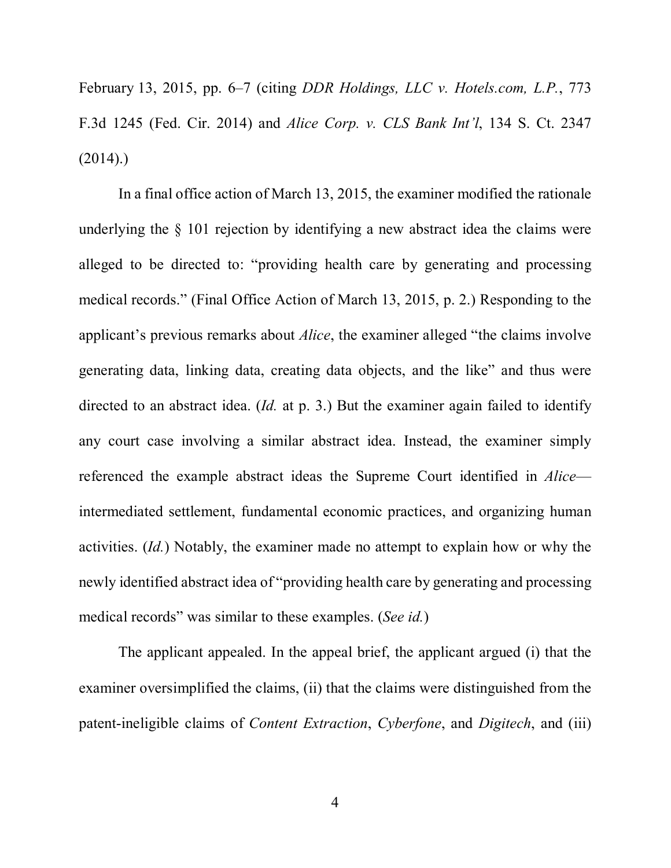February 13, 2015, pp. 6–7 (citing *DDR Holdings, LLC v. Hotels.com, L.P.*, 773 F.3d 1245 (Fed. Cir. 2014) and *Alice Corp. v. CLS Bank Int'l*, 134 S. Ct. 2347  $(2014)$ .

In a final office action of March 13, 2015, the examiner modified the rationale underlying the § 101 rejection by identifying a new abstract idea the claims were alleged to be directed to: "providing health care by generating and processing medical records." (Final Office Action of March 13, 2015, p. 2.) Responding to the applicant's previous remarks about *Alice*, the examiner alleged "the claims involve generating data, linking data, creating data objects, and the like" and thus were directed to an abstract idea. (*Id.* at p. 3.) But the examiner again failed to identify any court case involving a similar abstract idea. Instead, the examiner simply referenced the example abstract ideas the Supreme Court identified in *Alice* intermediated settlement, fundamental economic practices, and organizing human activities. (*Id.*) Notably, the examiner made no attempt to explain how or why the newly identified abstract idea of "providing health care by generating and processing medical records" was similar to these examples. (*See id.*)

The applicant appealed. In the appeal brief, the applicant argued (i) that the examiner oversimplified the claims, (ii) that the claims were distinguished from the patent-ineligible claims of *Content Extraction*, *Cyberfone*, and *Digitech*, and (iii)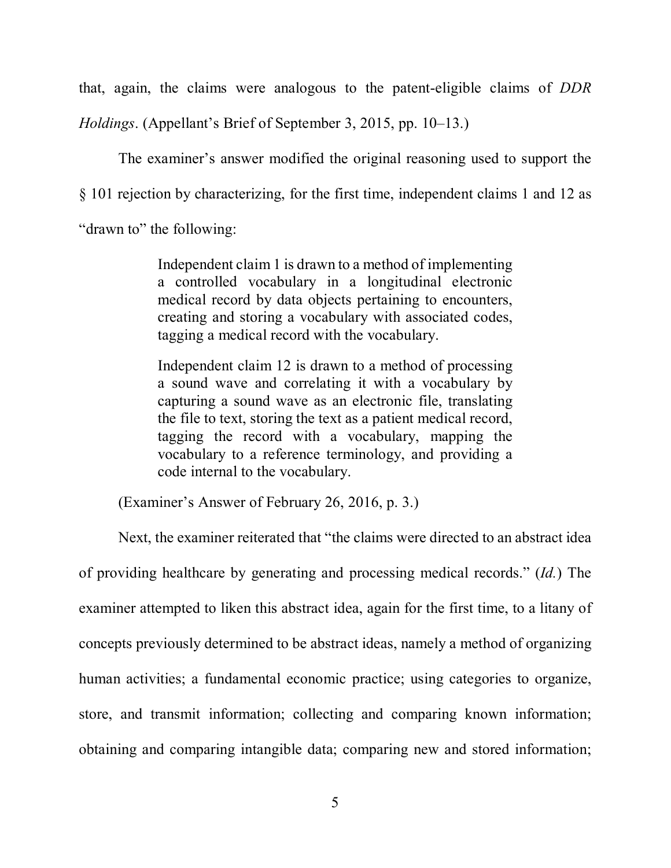that, again, the claims were analogous to the patent-eligible claims of *DDR Holdings*. (Appellant's Brief of September 3, 2015, pp. 10–13.)

The examiner's answer modified the original reasoning used to support the § 101 rejection by characterizing, for the first time, independent claims 1 and 12 as "drawn to" the following:

> Independent claim 1 is drawn to a method of implementing a controlled vocabulary in a longitudinal electronic medical record by data objects pertaining to encounters, creating and storing a vocabulary with associated codes, tagging a medical record with the vocabulary.

> Independent claim 12 is drawn to a method of processing a sound wave and correlating it with a vocabulary by capturing a sound wave as an electronic file, translating the file to text, storing the text as a patient medical record, tagging the record with a vocabulary, mapping the vocabulary to a reference terminology, and providing a code internal to the vocabulary.

(Examiner's Answer of February 26, 2016, p. 3.)

Next, the examiner reiterated that "the claims were directed to an abstract idea of providing healthcare by generating and processing medical records." (*Id.*) The examiner attempted to liken this abstract idea, again for the first time, to a litany of concepts previously determined to be abstract ideas, namely a method of organizing human activities; a fundamental economic practice; using categories to organize, store, and transmit information; collecting and comparing known information; obtaining and comparing intangible data; comparing new and stored information;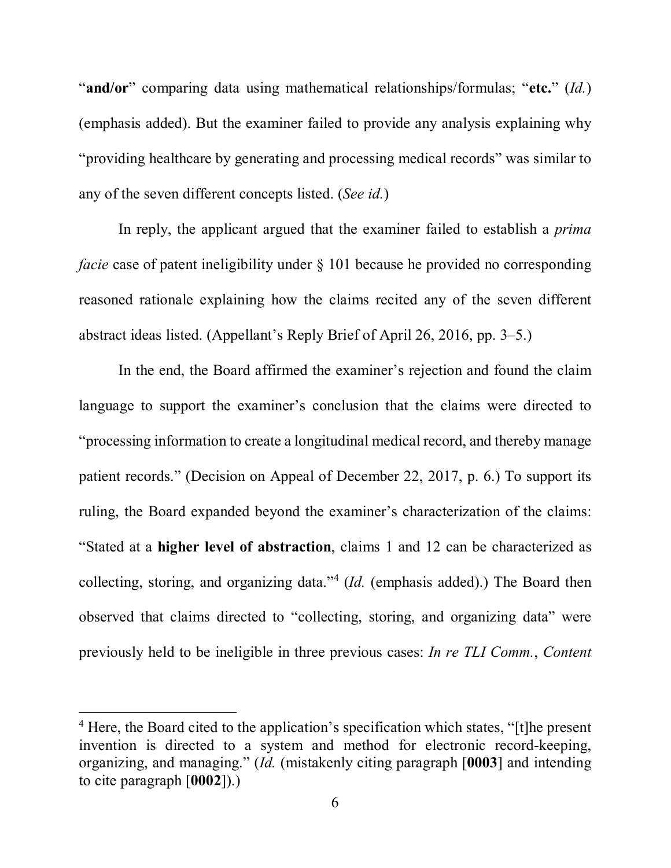"**and/or**" comparing data using mathematical relationships/formulas; "**etc.**" (*Id.*) (emphasis added). But the examiner failed to provide any analysis explaining why "providing healthcare by generating and processing medical records" was similar to any of the seven different concepts listed. (*See id.*)

In reply, the applicant argued that the examiner failed to establish a *prima facie* case of patent ineligibility under § 101 because he provided no corresponding reasoned rationale explaining how the claims recited any of the seven different abstract ideas listed. (Appellant's Reply Brief of April 26, 2016, pp. 3–5.)

In the end, the Board affirmed the examiner's rejection and found the claim language to support the examiner's conclusion that the claims were directed to "processing information to create a longitudinal medical record, and thereby manage patient records." (Decision on Appeal of December 22, 2017, p. 6.) To support its ruling, the Board expanded beyond the examiner's characterization of the claims: "Stated at a **higher level of abstraction**, claims 1 and 12 can be characterized as collecting, storing, and organizing data."4 (*Id.* (emphasis added).) The Board then observed that claims directed to "collecting, storing, and organizing data" were previously held to be ineligible in three previous cases: *In re TLI Comm.*, *Content* 

<sup>&</sup>lt;sup>4</sup> Here, the Board cited to the application's specification which states, "[t]he present invention is directed to a system and method for electronic record-keeping, organizing, and managing." (*Id.* (mistakenly citing paragraph [**0003**] and intending to cite paragraph [**0002**]).)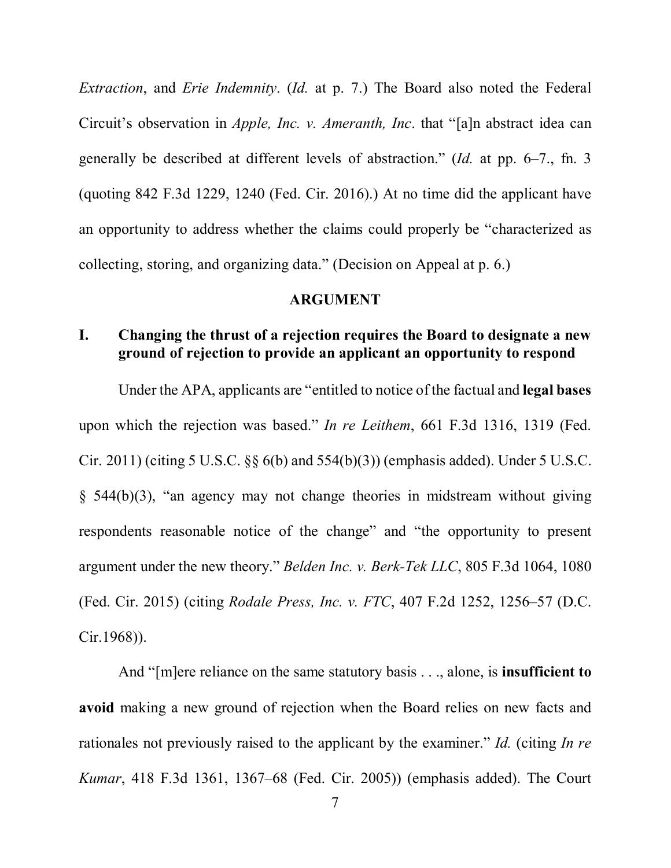*Extraction*, and *Erie Indemnity*. (*Id.* at p. 7.) The Board also noted the Federal Circuit's observation in *Apple, Inc. v. Ameranth, Inc*. that "[a]n abstract idea can generally be described at different levels of abstraction." (*Id.* at pp. 6–7., fn. 3 (quoting 842 F.3d 1229, 1240 (Fed. Cir. 2016).) At no time did the applicant have an opportunity to address whether the claims could properly be "characterized as collecting, storing, and organizing data." (Decision on Appeal at p. 6.)

#### **ARGUMENT**

## **I. Changing the thrust of a rejection requires the Board to designate a new ground of rejection to provide an applicant an opportunity to respond**

Under the APA, applicants are "entitled to notice of the factual and **legal bases** upon which the rejection was based." *In re Leithem*, 661 F.3d 1316, 1319 (Fed. Cir. 2011) (citing 5 U.S.C. §§ 6(b) and 554(b)(3)) (emphasis added). Under 5 U.S.C. § 544(b)(3), "an agency may not change theories in midstream without giving respondents reasonable notice of the change" and "the opportunity to present argument under the new theory." *Belden Inc. v. Berk-Tek LLC*, 805 F.3d 1064, 1080 (Fed. Cir. 2015) (citing *Rodale Press, Inc. v. FTC*, 407 F.2d 1252, 1256–57 (D.C. Cir.1968)).

And "[m]ere reliance on the same statutory basis . . ., alone, is **insufficient to avoid** making a new ground of rejection when the Board relies on new facts and rationales not previously raised to the applicant by the examiner." *Id.* (citing *In re Kumar*, 418 F.3d 1361, 1367–68 (Fed. Cir. 2005)) (emphasis added). The Court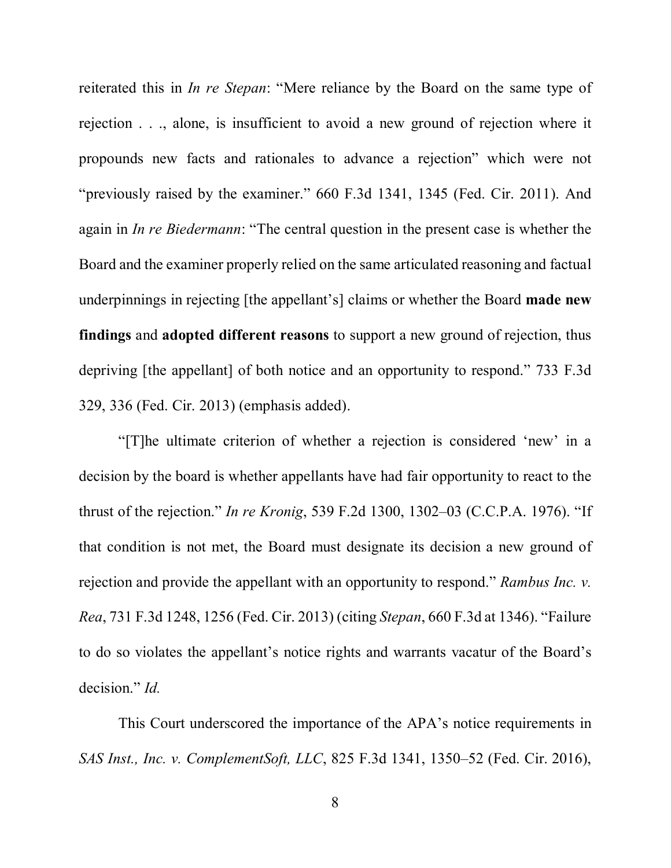reiterated this in *In re Stepan*: "Mere reliance by the Board on the same type of rejection . . ., alone, is insufficient to avoid a new ground of rejection where it propounds new facts and rationales to advance a rejection" which were not "previously raised by the examiner." 660 F.3d 1341, 1345 (Fed. Cir. 2011). And again in *In re Biedermann*: "The central question in the present case is whether the Board and the examiner properly relied on the same articulated reasoning and factual underpinnings in rejecting [the appellant's] claims or whether the Board **made new findings** and **adopted different reasons** to support a new ground of rejection, thus depriving [the appellant] of both notice and an opportunity to respond." 733 F.3d 329, 336 (Fed. Cir. 2013) (emphasis added).

"[T]he ultimate criterion of whether a rejection is considered 'new' in a decision by the board is whether appellants have had fair opportunity to react to the thrust of the rejection." *In re Kronig*, 539 F.2d 1300, 1302–03 (C.C.P.A. 1976). "If that condition is not met, the Board must designate its decision a new ground of rejection and provide the appellant with an opportunity to respond." *Rambus Inc. v. Rea*, 731 F.3d 1248, 1256 (Fed. Cir. 2013) (citing *Stepan*, 660 F.3d at 1346). "Failure to do so violates the appellant's notice rights and warrants vacatur of the Board's decision." *Id.*

This Court underscored the importance of the APA's notice requirements in *SAS Inst., Inc. v. ComplementSoft, LLC*, 825 F.3d 1341, 1350–52 (Fed. Cir. 2016),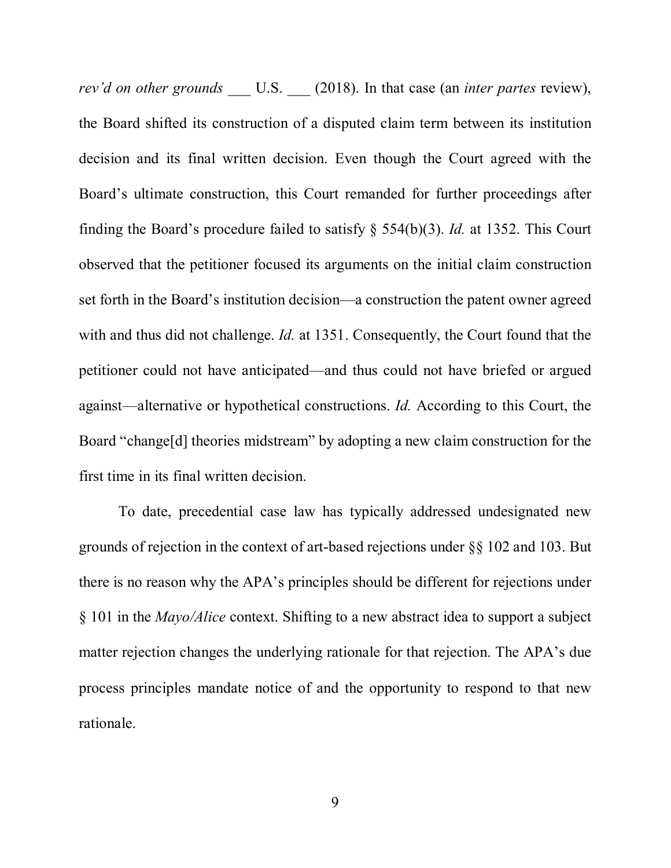*rev'd on other grounds* U.S. (2018). In that case (an *inter partes* review), the Board shifted its construction of a disputed claim term between its institution decision and its final written decision. Even though the Court agreed with the Board's ultimate construction, this Court remanded for further proceedings after finding the Board's procedure failed to satisfy § 554(b)(3). *Id.* at 1352. This Court observed that the petitioner focused its arguments on the initial claim construction set forth in the Board's institution decision—a construction the patent owner agreed with and thus did not challenge. *Id.* at 1351. Consequently, the Court found that the petitioner could not have anticipated—and thus could not have briefed or argued against—alternative or hypothetical constructions. *Id.* According to this Court, the Board "change[d] theories midstream" by adopting a new claim construction for the first time in its final written decision.

To date, precedential case law has typically addressed undesignated new grounds of rejection in the context of art-based rejections under §§ 102 and 103. But there is no reason why the APA's principles should be different for rejections under § 101 in the *Mayo/Alice* context. Shifting to a new abstract idea to support a subject matter rejection changes the underlying rationale for that rejection. The APA's due process principles mandate notice of and the opportunity to respond to that new rationale.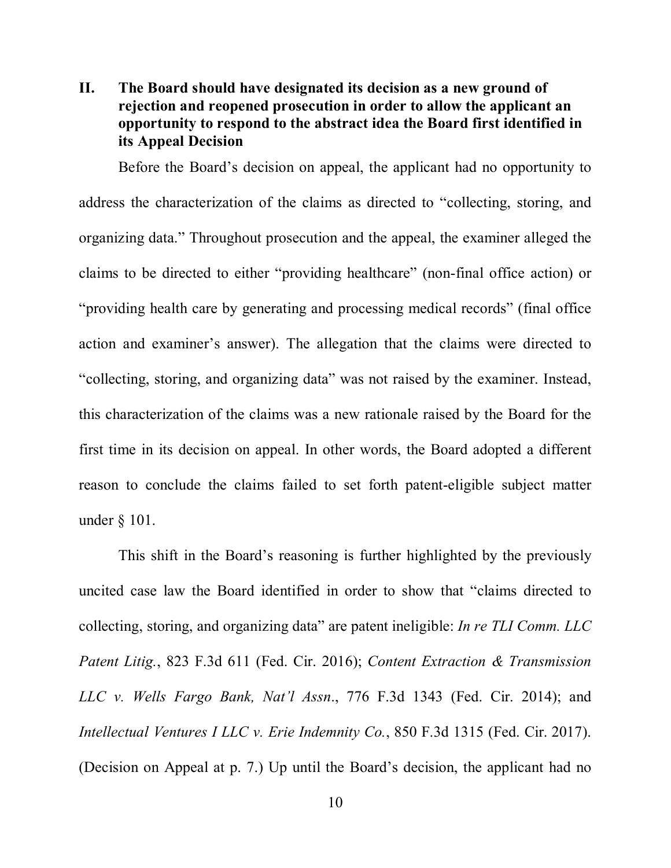# **II. The Board should have designated its decision as a new ground of rejection and reopened prosecution in order to allow the applicant an opportunity to respond to the abstract idea the Board first identified in its Appeal Decision**

Before the Board's decision on appeal, the applicant had no opportunity to address the characterization of the claims as directed to "collecting, storing, and organizing data." Throughout prosecution and the appeal, the examiner alleged the claims to be directed to either "providing healthcare" (non-final office action) or "providing health care by generating and processing medical records" (final office action and examiner's answer). The allegation that the claims were directed to "collecting, storing, and organizing data" was not raised by the examiner. Instead, this characterization of the claims was a new rationale raised by the Board for the first time in its decision on appeal. In other words, the Board adopted a different reason to conclude the claims failed to set forth patent-eligible subject matter under § 101.

This shift in the Board's reasoning is further highlighted by the previously uncited case law the Board identified in order to show that "claims directed to collecting, storing, and organizing data" are patent ineligible: *In re TLI Comm. LLC Patent Litig.*, 823 F.3d 611 (Fed. Cir. 2016); *Content Extraction & Transmission LLC v. Wells Fargo Bank, Nat'l Assn*., 776 F.3d 1343 (Fed. Cir. 2014); and *Intellectual Ventures I LLC v. Erie Indemnity Co.*, 850 F.3d 1315 (Fed. Cir. 2017). (Decision on Appeal at p. 7.) Up until the Board's decision, the applicant had no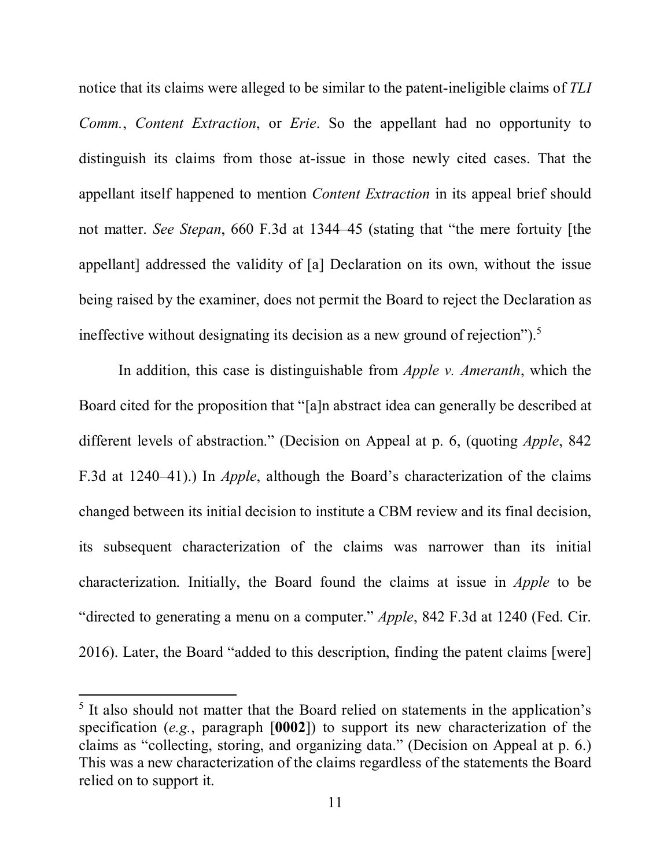notice that its claims were alleged to be similar to the patent-ineligible claims of *TLI Comm.*, *Content Extraction*, or *Erie*. So the appellant had no opportunity to distinguish its claims from those at-issue in those newly cited cases. That the appellant itself happened to mention *Content Extraction* in its appeal brief should not matter. *See Stepan*, 660 F.3d at 1344–45 (stating that "the mere fortuity [the appellant] addressed the validity of [a] Declaration on its own, without the issue being raised by the examiner, does not permit the Board to reject the Declaration as ineffective without designating its decision as a new ground of rejection").<sup>5</sup>

In addition, this case is distinguishable from *Apple v. Ameranth*, which the Board cited for the proposition that "[a]n abstract idea can generally be described at different levels of abstraction." (Decision on Appeal at p. 6, (quoting *Apple*, 842 F.3d at 1240–41).) In *Apple*, although the Board's characterization of the claims changed between its initial decision to institute a CBM review and its final decision, its subsequent characterization of the claims was narrower than its initial characterization. Initially, the Board found the claims at issue in *Apple* to be "directed to generating a menu on a computer." *Apple*, 842 F.3d at 1240 (Fed. Cir. 2016). Later, the Board "added to this description, finding the patent claims [were]

<sup>&</sup>lt;sup>5</sup> It also should not matter that the Board relied on statements in the application's specification (*e.g.*, paragraph [**0002**]) to support its new characterization of the claims as "collecting, storing, and organizing data." (Decision on Appeal at p. 6.) This was a new characterization of the claims regardless of the statements the Board relied on to support it.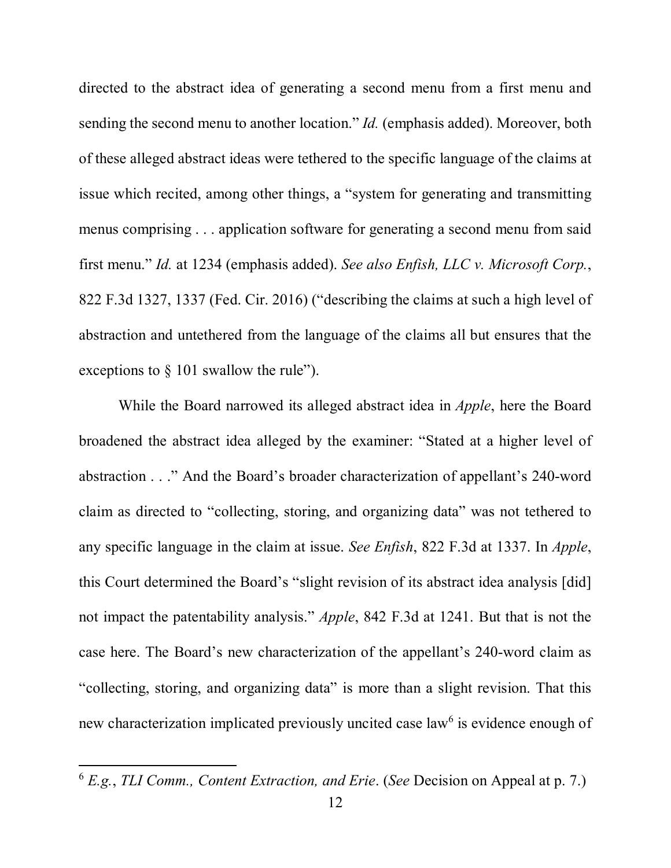directed to the abstract idea of generating a second menu from a first menu and sending the second menu to another location." *Id.* (emphasis added). Moreover, both of these alleged abstract ideas were tethered to the specific language of the claims at issue which recited, among other things, a "system for generating and transmitting menus comprising . . . application software for generating a second menu from said first menu." *Id.* at 1234 (emphasis added). *See also Enfish, LLC v. Microsoft Corp.*, 822 F.3d 1327, 1337 (Fed. Cir. 2016) ("describing the claims at such a high level of abstraction and untethered from the language of the claims all but ensures that the exceptions to  $\S$  101 swallow the rule").

While the Board narrowed its alleged abstract idea in *Apple*, here the Board broadened the abstract idea alleged by the examiner: "Stated at a higher level of abstraction . . ." And the Board's broader characterization of appellant's 240-word claim as directed to "collecting, storing, and organizing data" was not tethered to any specific language in the claim at issue. *See Enfish*, 822 F.3d at 1337. In *Apple*, this Court determined the Board's "slight revision of its abstract idea analysis [did] not impact the patentability analysis." *Apple*, 842 F.3d at 1241. But that is not the case here. The Board's new characterization of the appellant's 240-word claim as "collecting, storing, and organizing data" is more than a slight revision. That this new characterization implicated previously uncited case law<sup>6</sup> is evidence enough of

<sup>6</sup> *E.g.*, *TLI Comm., Content Extraction, and Erie*. (*See* Decision on Appeal at p. 7.)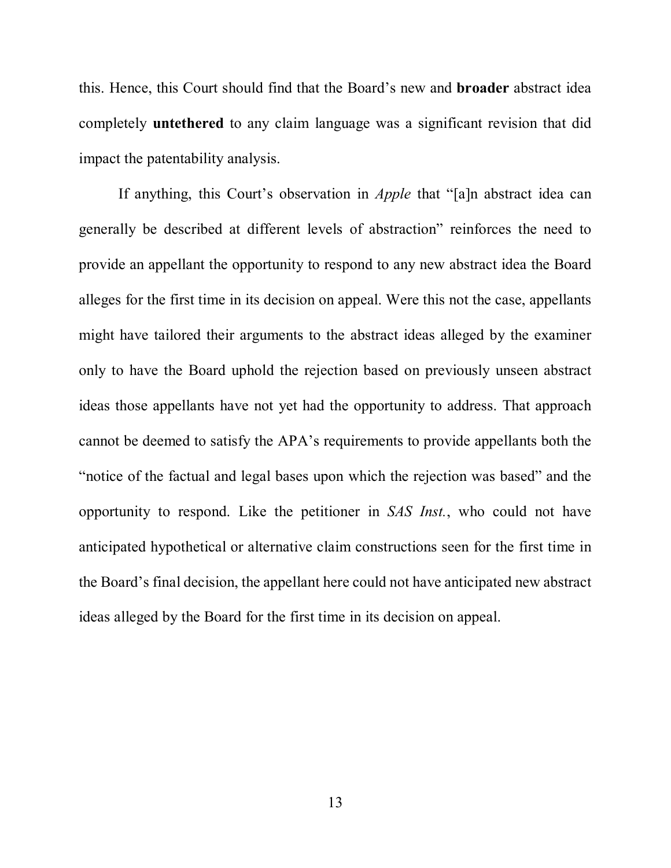this. Hence, this Court should find that the Board's new and **broader** abstract idea completely **untethered** to any claim language was a significant revision that did impact the patentability analysis.

If anything, this Court's observation in *Apple* that "[a]n abstract idea can generally be described at different levels of abstraction" reinforces the need to provide an appellant the opportunity to respond to any new abstract idea the Board alleges for the first time in its decision on appeal. Were this not the case, appellants might have tailored their arguments to the abstract ideas alleged by the examiner only to have the Board uphold the rejection based on previously unseen abstract ideas those appellants have not yet had the opportunity to address. That approach cannot be deemed to satisfy the APA's requirements to provide appellants both the "notice of the factual and legal bases upon which the rejection was based" and the opportunity to respond. Like the petitioner in *SAS Inst.*, who could not have anticipated hypothetical or alternative claim constructions seen for the first time in the Board's final decision, the appellant here could not have anticipated new abstract ideas alleged by the Board for the first time in its decision on appeal.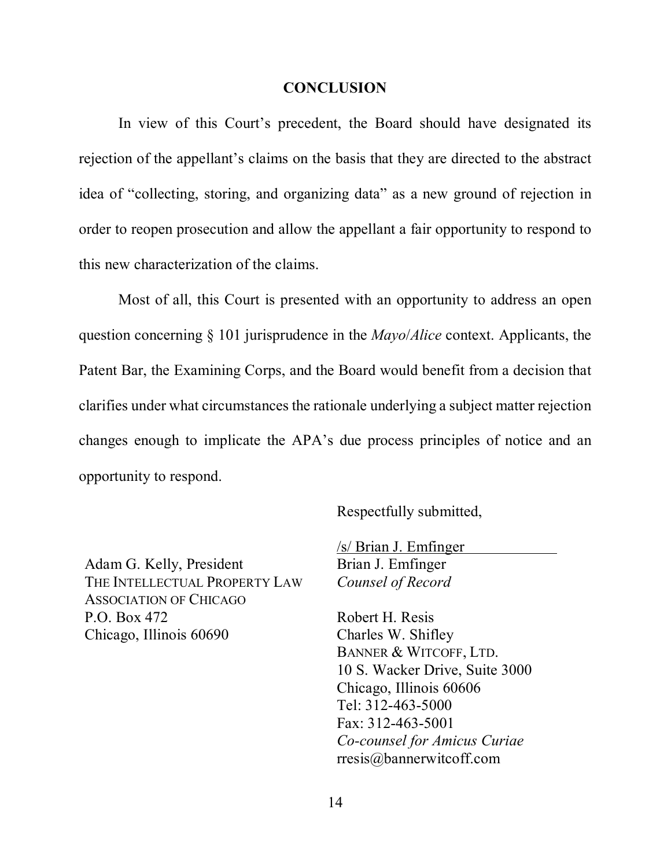#### **CONCLUSION**

In view of this Court's precedent, the Board should have designated its rejection of the appellant's claims on the basis that they are directed to the abstract idea of "collecting, storing, and organizing data" as a new ground of rejection in order to reopen prosecution and allow the appellant a fair opportunity to respond to this new characterization of the claims.

Most of all, this Court is presented with an opportunity to address an open question concerning § 101 jurisprudence in the *Mayo*/*Alice* context. Applicants, the Patent Bar, the Examining Corps, and the Board would benefit from a decision that clarifies under what circumstances the rationale underlying a subject matter rejection changes enough to implicate the APA's due process principles of notice and an opportunity to respond.

Respectfully submitted,

Adam G. Kelly, President THE INTELLECTUAL PROPERTY LAW ASSOCIATION OF CHICAGO P.O. Box 472 Chicago, Illinois 60690

/s/ Brian J. Emfinger Brian J. Emfinger *Counsel of Record* 

Robert H. Resis Charles W. Shifley BANNER & WITCOFF, LTD. 10 S. Wacker Drive, Suite 3000 Chicago, Illinois 60606 Tel: 312-463-5000 Fax: 312-463-5001 *Co-counsel for Amicus Curiae*  rresis@bannerwitcoff.com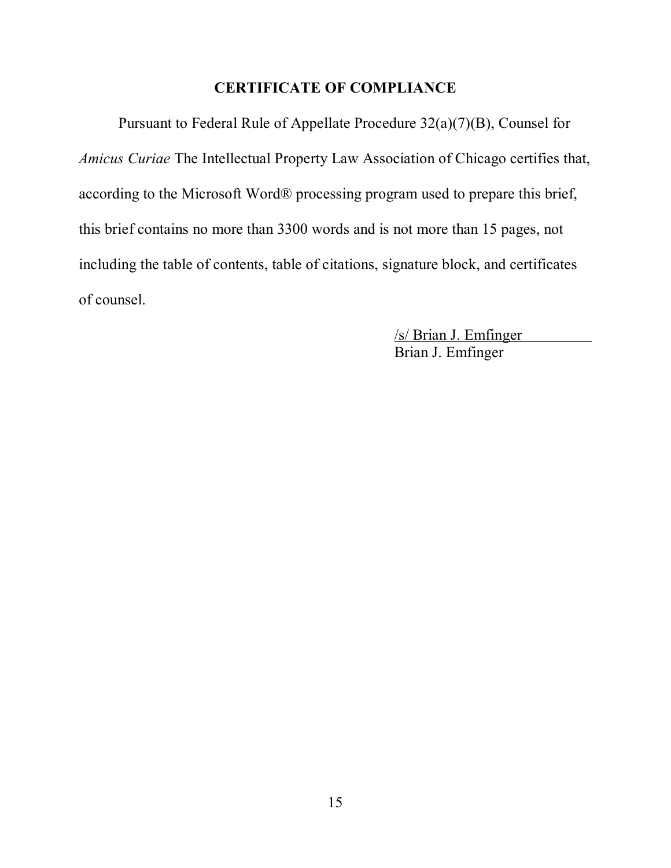## **CERTIFICATE OF COMPLIANCE**

Pursuant to Federal Rule of Appellate Procedure 32(a)(7)(B), Counsel for *Amicus Curiae* The Intellectual Property Law Association of Chicago certifies that, according to the Microsoft Word® processing program used to prepare this brief, this brief contains no more than 3300 words and is not more than 15 pages, not including the table of contents, table of citations, signature block, and certificates of counsel.

> /s/ Brian J. Emfinger Brian J. Emfinger